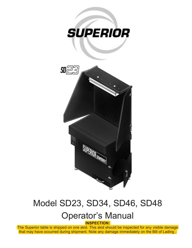

# Model SD23, SD34, SD46, SD48

## Operator's Manual

**INSPECTION:** 

The Superior table is shipped on one skid. This skid should be inspected for any visible damage that may have occurred during shipment. Note any damage immediately on the Bill of Lading .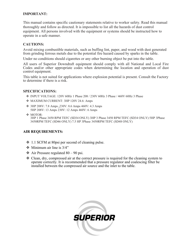#### **IMPORTANT:**

This manual contains specific cautionary statements relative to worker safety. Read this manual thoroughly and follow as directed. It is impossible to list all the hazards of dust control equipment. All persons involved with the equipment or systems should be instructed how to operate in a safe manner.

#### **CAUTIONS:**

Avoid mixing combustible materials, such as buffing lint, paper, and wood with dust generated from grinding ferrous metals due to the potential fire hazard caused by sparks in the table.

Under no conditions should cigarettes or any other burning object be put into the table.

All users of Superior Downdraft equipment should comply with all National and Local Fire Codes and/or other appropriate codes when determining the location and operation of dust control equipment.

This table is not suited for applications where explosion potential is present. Consult the Factory to determine if there is a risk.

#### **SPECIFICATIONS:**

- $\div$  INPUT VOLTAGE: 120V 60Hz 1 Phase 208 / 230V 60Hz 3 Phase / 460V 60Hz 3 Phase
- MAXIMUM CURRENT: 3HP 120V 24.6: Amps
- 3HP 208V: 7.8 Amps ,230V: 8.6 Amps 460V: 4.3 Amps 5HP 208V: 13 Amps 230V: 12 Amps 460V: 6 Amps
- ◆ MOTOR: 3HP 1 Phase 3450 RPM TEFC (SD34 ONLY) 3HP 3 Phase 3450 RPM TEFC (SD34 ONLY) 5HP 3Phase 3450RPM TEFC (SD46 ONLY) 7.5 HP 3Phase 3450RPM TEFC (SD48 ONLY)

#### **AIR REQUIREMENTS:**

- 1.1 SCFM at 80psi per second of cleaning pulse.
- $\div$  Minimum air line is 3/4"
- $\div$  Air Pressure regulated 80 90 psi.
- Clean, dry, compressed air at the correct pressure is required for the cleaning system to operate correctly. It is recommended that a pressure regulator and coalescing filter be installed between the compressed air source and the inlet to the table.

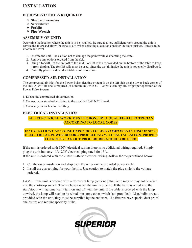### **INSTALLATION**

#### **EQUIPMENT/TOOLS REQUIRED:**

- **Standard wrenches**
- *❖* Screwdriver
- **Forklift**
- **Pipe Wrench**

#### **ASSEMBLY OF UNIT:**

Determine the location where the unit is to be installed. Be sure to allow sufficient room around the unit to service the filters and allow for exhaust air. When selecting a location consider the floor surface. It needs to be smooth and level.

- 1. Uncrate the unit. Use caution not to damage the paint while dismantling the crate.
- 2. Remove any options ordered from the skid.
- 3. Using a forklift, lift the unit off of the skid. Forklift rails are provided on the bottom of the table to keep it from tipping. The forklift rails must be used, since the weight inside the unit is not evenly distributed.
- 4. Carefully place the downdraft table into its location.

#### **COMPRESSED AIR INSTALLATION**

The compressed air inlet for the Power-Pulse cleaning system is on the left side on the lower-back corner of the unit. A  $3/4$ " air line is required (at a minimum) with  $80 - 90$  psi clean dry air, for proper operation of the Power-Pulse System.

- 1. Locate the compressed air connection.
- 2. Connect your standard air fitting to the provided 3/4" NPT thread.
- 3. Connect your air line to the fitting.

#### **ELECTRICAL INSTALLATION**

#### **ALL ELECTRICAL WORK MUST BE DONE BY A QUALIFIED ELECTRICIAN ACCORDING TO LOCAL CODES**

#### **INSTALLATION CAN CAUSE EXPOSURE TO LIVE COMPONENTS. DISCONNECT ELEC- TRICAL POWER BEFORE PROCEEDING WITH INSTALLAITON. PROPER LOCK OUT/ TAG OUT PROCEDURES SHOULD BE USED.**

If the unit is ordered with 120V electrical wiring there is no additional wiring required. Simply plug the unit into any 110/120V electrical plug rated for 15A. If the unit is ordered with the 208/230-460V electrical wiring, follow the steps outlined below:

- 1. Cut the outer insulation and strip back the wires on the provided power cable.
- 2. Install the correct plug for your facility. Use caution to match the plug style to the voltage ordered.

LAMP: If the unit is ordered with a florescent lamp (optional) that lamp may or may not be wired into the start/stop switch. This is chosen when the unit is ordered. If the lamp is wired into the start/stop it will automatically turn on and off with the unit. If the table is ordered with the lamp unwired, the lamp will need to be wired into some other switch (not provided). Also, bulbs are not provided with the unit, they must be supplied by the end user. The fixtures have special dust proof enclosures and require specialty bulbs.

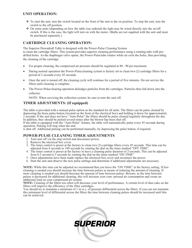#### **UNIT OPERATION:**

- To start the unit, turn the switch located on the front of the unit to the on position. To stop the unit, turn the switch to the off position.
- $\cdot$  On some units (depending on how the table was ordered) the light may be wired directly into the on/off switch. If this is the case, the light will turn on with the motor. (Bulbs are not supplied with the unit and must be purchased separately.)

#### **CARTRIDGE CLEANING OPERATION:**

The Superior Downdraft Table is designed with the Power-Pulse Cleaning System to clean the cartridge filters. This system provides superior cleaning performance using a rotating tube with predrilled holes. As the diaphragm valve opens, the Power-Pulsetube rotates while air exits the holes, thus providing the cleaning of the cartridge.

- For proper cleaning, the compressed air pressure should be regulated at 80 90 psi maximum.
- During normal operation the Power-Pulsecleaning system is factory set to clean two (2) cartridge filters for a period of 2 seconds every 45 seconds.
- Once the unit is turned off, the cleaning cycle will continue for a period of five minutes. Do not service the filters until cleaning is complete.
- The Power-Pulsecleaning operation dislodges particles from the cartridges. Particles then fall down into the collector.

NOTE: When servicing the collection system, be sure to turn the unit off.

#### **TIMER ADJUSTMENTS: (If equipped)**

The table is provided with a manual pulse option as the standard for all units. The filters can be pulse cleaned by depressing the brass pulse button (located on the front of the electrical box) and holding it down for approximately 2 seconds. If the unit does not have "Auto-Pulse" the filters should be pulse cleaned regularly throughout the day. In addition, they should be pulsed several times after the blower has been shut off.

If the table is equipped with the "Auto-Pulse" feature, the table will automatically pulse every 45 seconds during operation. Pulsing will stop when the unit

is shut off. Additional pulsing can be performed manually, by depressing the pulse button, if required.

#### **POWER-PULSE CLEANING TIMER ADJUSTMENTS**

- 1. Turn unit off via the stop switch and disconnect power.
- 2. Remove the electrical box cover.
- 3. The timer control is preset at the factory to clean two (2) cartridge filters every 45 seconds. This time can be adjusted from 8 seconds to 180 seconds by rotating the dial on the timer marked "OFF TIME".
- 4. The timer control is preset at the factory to have a cleaning pulse duration of 2-seconds. This can be adjusted from 0.5 second to 5 seconds by rotating the dial on the timer marked "ON TIME"
- 5. Once adjustments have been made replace the electrical box cover and reconnect the power.
- 6. Start the unit and observe the new pulse settings and determine if additional adjustments are necessary.

**NOTE:** While this time can be adjusted we recommend that you leave the "ON TIME" at the factory setting. If less cleaning is needed you should increase the time between pulses as means of reducing the amount of cleaning. If more cleaning is needed you should decrease the amount of time between pulses. Beware, as the time between pulses is decreased for additional cleaning, this will increase your com- pressed air consumption and create an additional load on your compressed air system.

**NOTE:** Cleaning of the filters too often will decrease your level of performance. A certain level of dust cake on the filters will improve the efficiency of the filter cartridges.

You should try to maintain a minimum of 1 in w.c. of pressure differential across the filters. If you can not maintain this minimum level of differential across the filters the time between cleaning pulses should be increased until this can be achieved.